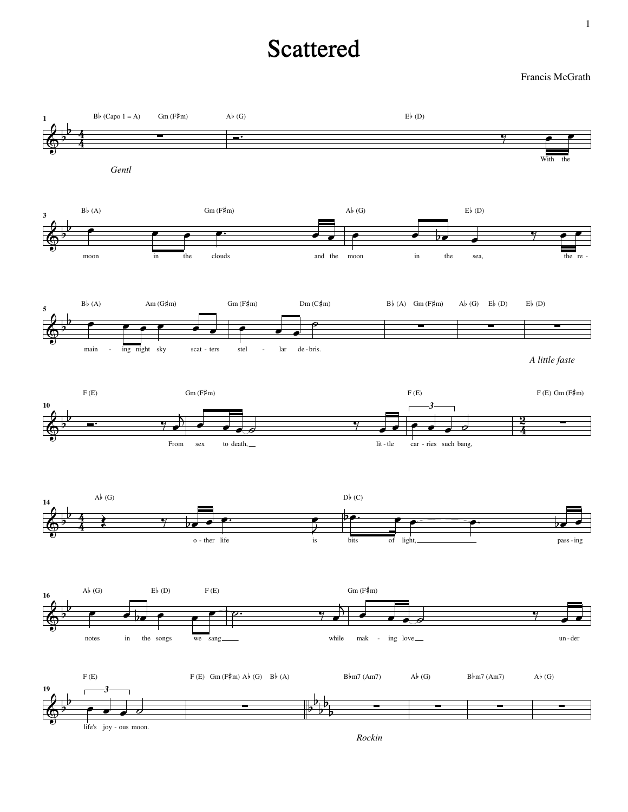## Scattered

Francis McGrath



*Rockin*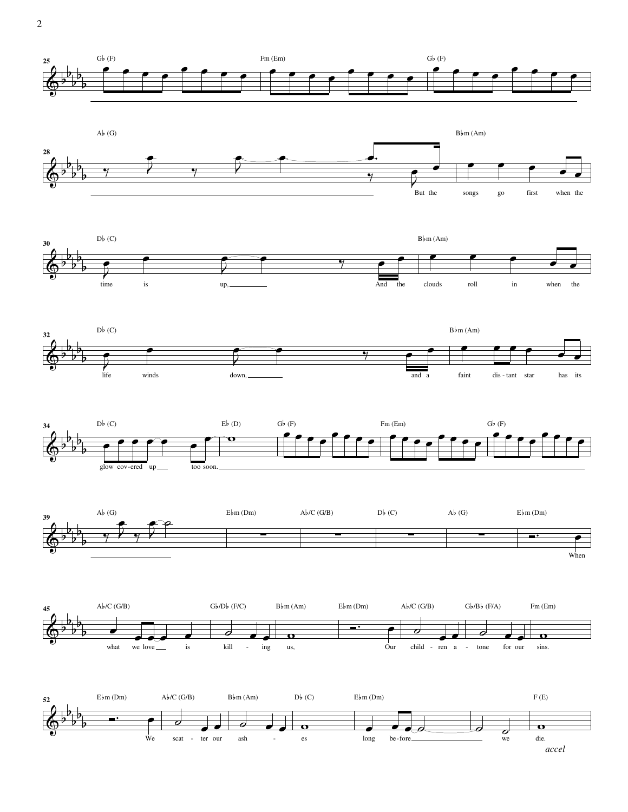